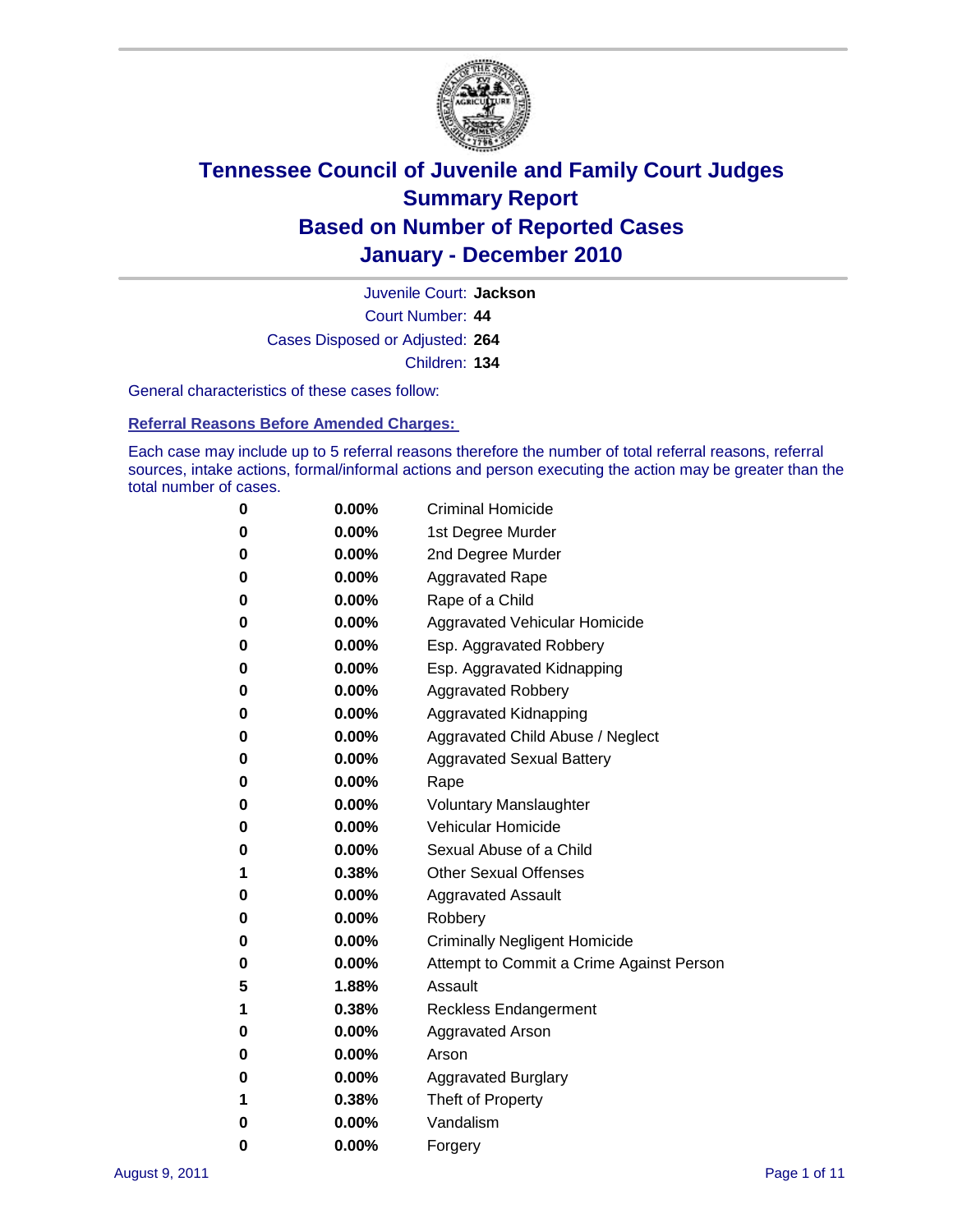

Court Number: **44** Juvenile Court: **Jackson** Cases Disposed or Adjusted: **264** Children: **134**

General characteristics of these cases follow:

**Referral Reasons Before Amended Charges:** 

Each case may include up to 5 referral reasons therefore the number of total referral reasons, referral sources, intake actions, formal/informal actions and person executing the action may be greater than the total number of cases.

| 0 | $0.00\%$ | <b>Criminal Homicide</b>                 |
|---|----------|------------------------------------------|
| 0 | $0.00\%$ | 1st Degree Murder                        |
| 0 | $0.00\%$ | 2nd Degree Murder                        |
| 0 | $0.00\%$ | <b>Aggravated Rape</b>                   |
| 0 | $0.00\%$ | Rape of a Child                          |
| 0 | $0.00\%$ | Aggravated Vehicular Homicide            |
| 0 | $0.00\%$ | Esp. Aggravated Robbery                  |
| 0 | $0.00\%$ | Esp. Aggravated Kidnapping               |
| 0 | $0.00\%$ | <b>Aggravated Robbery</b>                |
| 0 | $0.00\%$ | Aggravated Kidnapping                    |
| 0 | $0.00\%$ | Aggravated Child Abuse / Neglect         |
| 0 | $0.00\%$ | <b>Aggravated Sexual Battery</b>         |
| 0 | 0.00%    | Rape                                     |
| 0 | $0.00\%$ | <b>Voluntary Manslaughter</b>            |
| 0 | $0.00\%$ | Vehicular Homicide                       |
| 0 | $0.00\%$ | Sexual Abuse of a Child                  |
| 1 | 0.38%    | <b>Other Sexual Offenses</b>             |
| 0 | $0.00\%$ | <b>Aggravated Assault</b>                |
| 0 | $0.00\%$ | Robbery                                  |
| 0 | $0.00\%$ | <b>Criminally Negligent Homicide</b>     |
| 0 | $0.00\%$ | Attempt to Commit a Crime Against Person |
| 5 | 1.88%    | Assault                                  |
| 1 | 0.38%    | <b>Reckless Endangerment</b>             |
| 0 | 0.00%    | <b>Aggravated Arson</b>                  |
| 0 | $0.00\%$ | Arson                                    |
| 0 | $0.00\%$ | <b>Aggravated Burglary</b>               |
| 1 | 0.38%    | Theft of Property                        |
| 0 | $0.00\%$ | Vandalism                                |
| 0 | 0.00%    | Forgery                                  |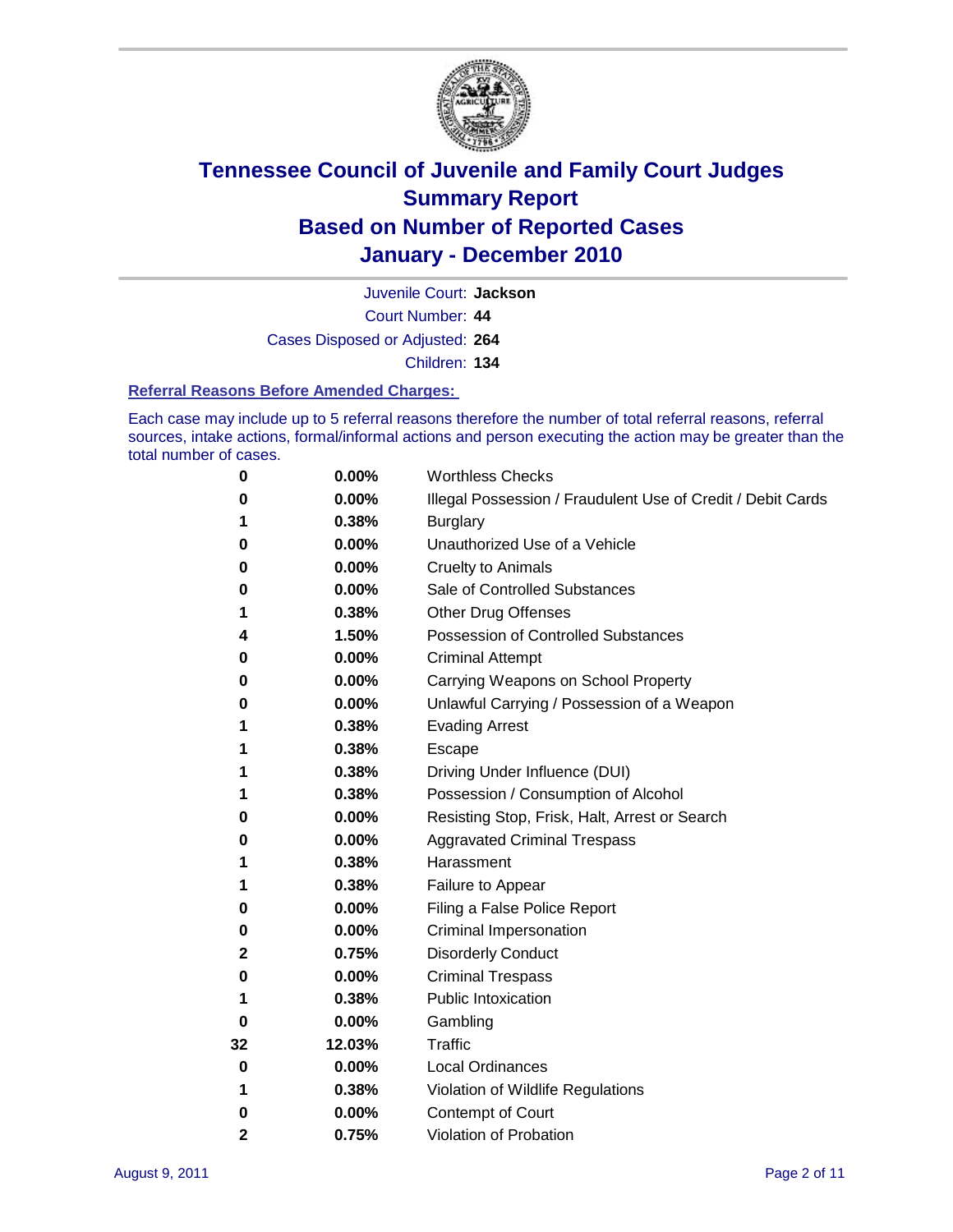

Juvenile Court: **Jackson**

Court Number: **44**

Cases Disposed or Adjusted: **264**

Children: **134**

### **Referral Reasons Before Amended Charges:**

Each case may include up to 5 referral reasons therefore the number of total referral reasons, referral sources, intake actions, formal/informal actions and person executing the action may be greater than the total number of cases.

| 0            | 0.00%  | <b>Worthless Checks</b>                                     |
|--------------|--------|-------------------------------------------------------------|
| 0            | 0.00%  | Illegal Possession / Fraudulent Use of Credit / Debit Cards |
| 1            | 0.38%  | <b>Burglary</b>                                             |
| 0            | 0.00%  | Unauthorized Use of a Vehicle                               |
| 0            | 0.00%  | <b>Cruelty to Animals</b>                                   |
| 0            | 0.00%  | Sale of Controlled Substances                               |
| 1            | 0.38%  | <b>Other Drug Offenses</b>                                  |
| 4            | 1.50%  | <b>Possession of Controlled Substances</b>                  |
| 0            | 0.00%  | <b>Criminal Attempt</b>                                     |
| 0            | 0.00%  | Carrying Weapons on School Property                         |
| 0            | 0.00%  | Unlawful Carrying / Possession of a Weapon                  |
| 1            | 0.38%  | <b>Evading Arrest</b>                                       |
| 1            | 0.38%  | Escape                                                      |
| 1            | 0.38%  | Driving Under Influence (DUI)                               |
| 1            | 0.38%  | Possession / Consumption of Alcohol                         |
| 0            | 0.00%  | Resisting Stop, Frisk, Halt, Arrest or Search               |
| 0            | 0.00%  | <b>Aggravated Criminal Trespass</b>                         |
| 1            | 0.38%  | Harassment                                                  |
| 1            | 0.38%  | Failure to Appear                                           |
| 0            | 0.00%  | Filing a False Police Report                                |
| 0            | 0.00%  | Criminal Impersonation                                      |
| 2            | 0.75%  | <b>Disorderly Conduct</b>                                   |
| 0            | 0.00%  | <b>Criminal Trespass</b>                                    |
| 1            | 0.38%  | <b>Public Intoxication</b>                                  |
| 0            | 0.00%  | Gambling                                                    |
| 32           | 12.03% | <b>Traffic</b>                                              |
| 0            | 0.00%  | <b>Local Ordinances</b>                                     |
| 1            | 0.38%  | Violation of Wildlife Regulations                           |
| 0            | 0.00%  | Contempt of Court                                           |
| $\mathbf{2}$ | 0.75%  | Violation of Probation                                      |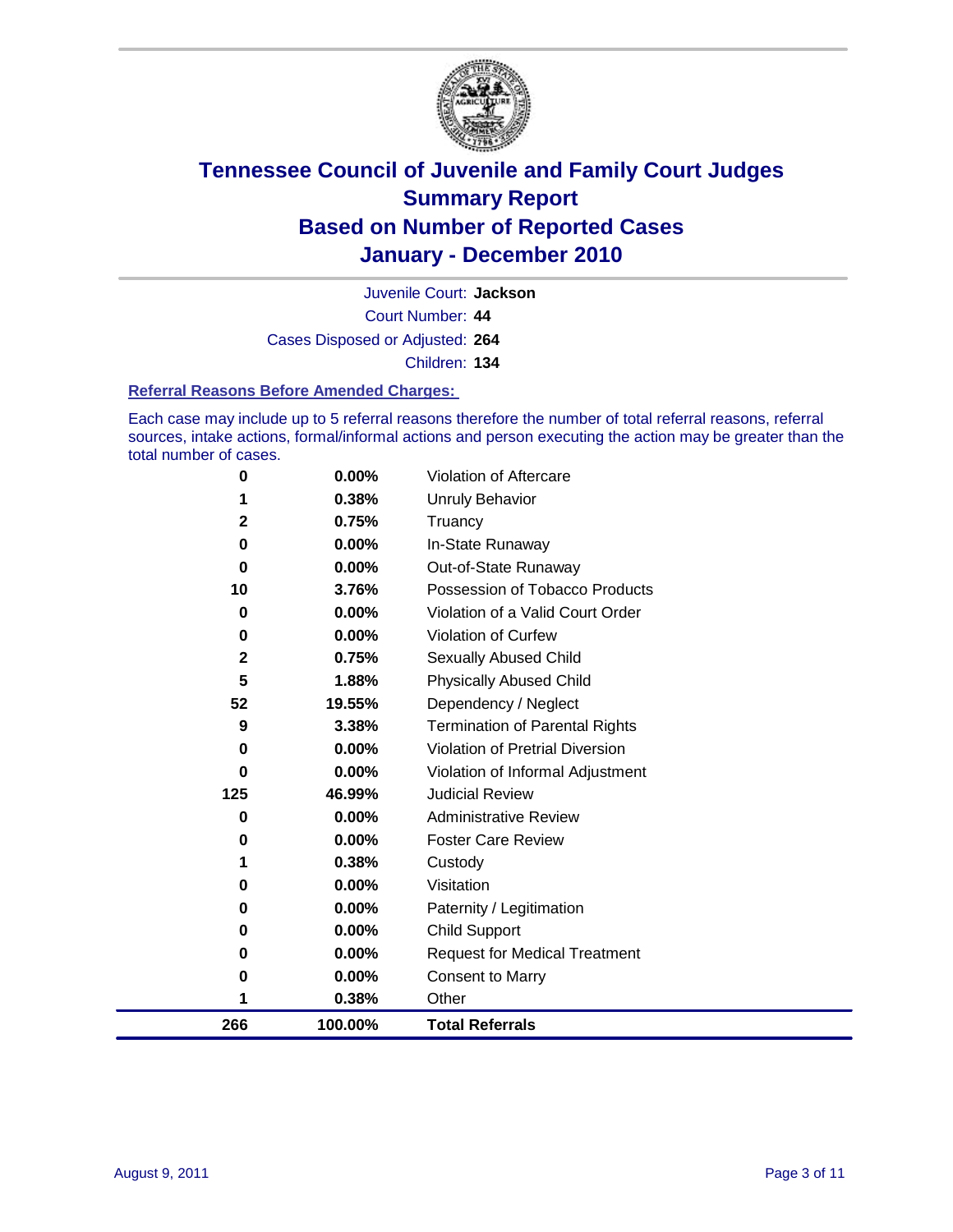

Court Number: **44** Juvenile Court: **Jackson** Cases Disposed or Adjusted: **264** Children: **134**

### **Referral Reasons Before Amended Charges:**

Each case may include up to 5 referral reasons therefore the number of total referral reasons, referral sources, intake actions, formal/informal actions and person executing the action may be greater than the total number of cases.

| 100.00%  | <b>Total Referrals</b>                                                                  |
|----------|-----------------------------------------------------------------------------------------|
| 0.38%    | Other                                                                                   |
| 0.00%    | <b>Consent to Marry</b>                                                                 |
| 0.00%    | <b>Request for Medical Treatment</b>                                                    |
| 0.00%    | <b>Child Support</b>                                                                    |
| 0.00%    | Paternity / Legitimation                                                                |
| 0.00%    | Visitation                                                                              |
| 0.38%    | Custody                                                                                 |
| 0.00%    | <b>Foster Care Review</b>                                                               |
| $0.00\%$ | <b>Administrative Review</b>                                                            |
| 46.99%   | <b>Judicial Review</b>                                                                  |
| 0.00%    | Violation of Informal Adjustment                                                        |
| 0.00%    | <b>Violation of Pretrial Diversion</b>                                                  |
| 3.38%    | Termination of Parental Rights                                                          |
|          | Dependency / Neglect                                                                    |
|          | <b>Physically Abused Child</b>                                                          |
|          | <b>Sexually Abused Child</b>                                                            |
|          | Violation of Curfew                                                                     |
|          | Violation of a Valid Court Order                                                        |
|          | Possession of Tobacco Products                                                          |
|          | Out-of-State Runaway                                                                    |
|          | Truancy<br>In-State Runaway                                                             |
|          | Unruly Behavior                                                                         |
| 0.00%    | Violation of Aftercare                                                                  |
|          | 0.38%<br>0.75%<br>0.00%<br>0.00%<br>3.76%<br>0.00%<br>0.00%<br>0.75%<br>1.88%<br>19.55% |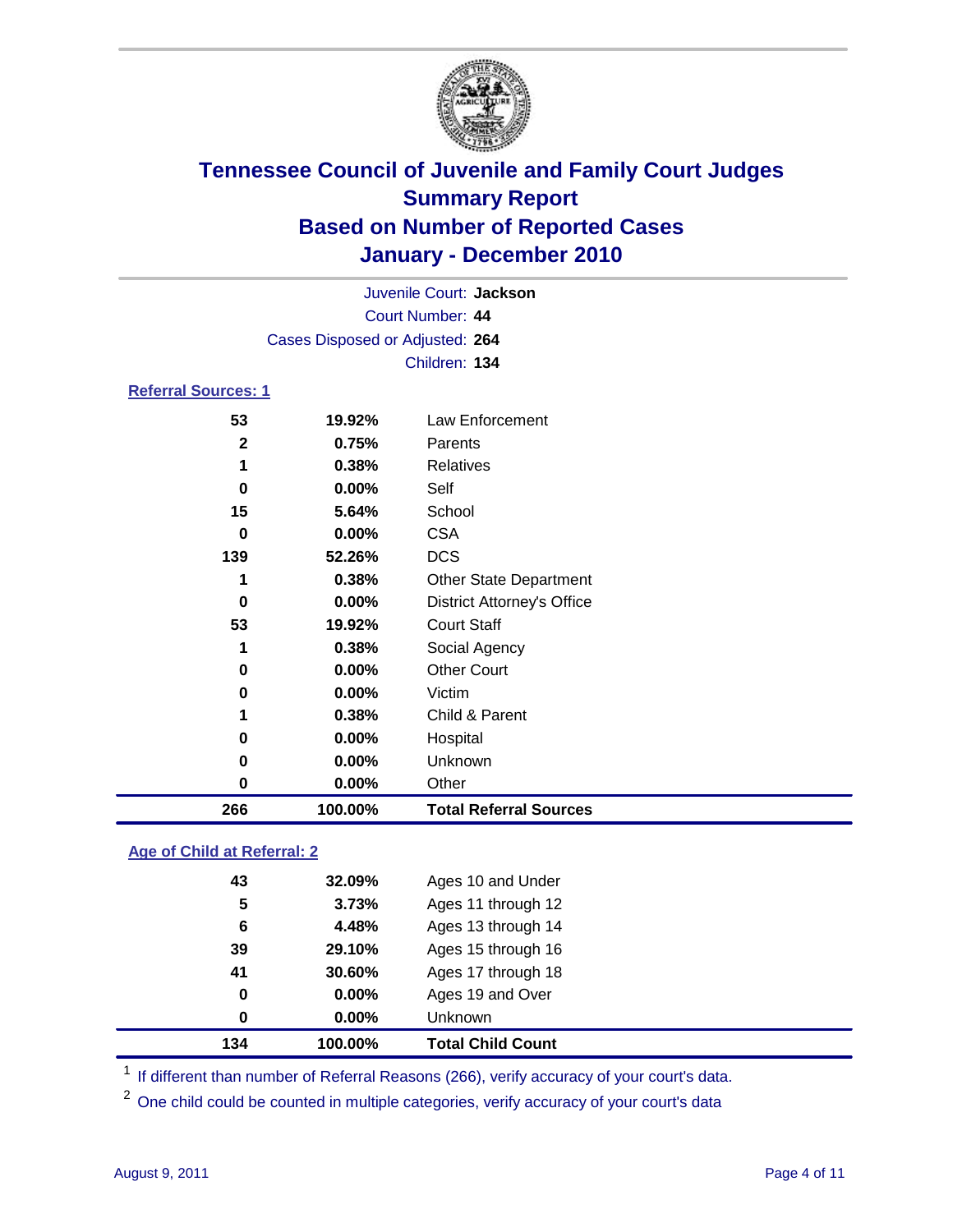

| 266                        | 100.00%                         | <b>Total Referral Sources</b>     |  |  |
|----------------------------|---------------------------------|-----------------------------------|--|--|
| 0                          | 0.00%                           | Other                             |  |  |
| 0                          | 0.00%                           | Unknown                           |  |  |
| 0                          | 0.00%                           | Hospital                          |  |  |
| 1                          | 0.38%                           | Child & Parent                    |  |  |
| 0                          | 0.00%                           | Victim                            |  |  |
| 0                          | 0.00%                           | <b>Other Court</b>                |  |  |
| 1                          | 0.38%                           | Social Agency                     |  |  |
| 53                         | 19.92%                          | <b>Court Staff</b>                |  |  |
| 0                          | 0.00%                           | <b>District Attorney's Office</b> |  |  |
| 1                          | 0.38%                           | <b>Other State Department</b>     |  |  |
| 139                        | 52.26%                          | <b>DCS</b>                        |  |  |
| 0                          | 0.00%                           | <b>CSA</b>                        |  |  |
| 15                         | 5.64%                           | School                            |  |  |
| $\bf{0}$                   | 0.00%                           | Self                              |  |  |
| 1                          | 0.38%                           | <b>Relatives</b>                  |  |  |
| $\mathbf{2}$               | 0.75%                           | Parents                           |  |  |
| 53                         | 19.92%                          | Law Enforcement                   |  |  |
| <b>Referral Sources: 1</b> |                                 |                                   |  |  |
|                            |                                 | Children: 134                     |  |  |
|                            | Cases Disposed or Adjusted: 264 |                                   |  |  |
| Court Number: 44           |                                 |                                   |  |  |
| Juvenile Court: Jackson    |                                 |                                   |  |  |
|                            |                                 |                                   |  |  |

### **Age of Child at Referral: 2**

| 134      | 100.00% | <b>Total Child Count</b> |
|----------|---------|--------------------------|
| $\bf{0}$ | 0.00%   | <b>Unknown</b>           |
| 0        | 0.00%   | Ages 19 and Over         |
| 41       | 30.60%  | Ages 17 through 18       |
| 39       | 29.10%  | Ages 15 through 16       |
| 6        | 4.48%   | Ages 13 through 14       |
| 5        | 3.73%   | Ages 11 through 12       |
| 43       | 32.09%  | Ages 10 and Under        |
|          |         |                          |

<sup>1</sup> If different than number of Referral Reasons (266), verify accuracy of your court's data.

<sup>2</sup> One child could be counted in multiple categories, verify accuracy of your court's data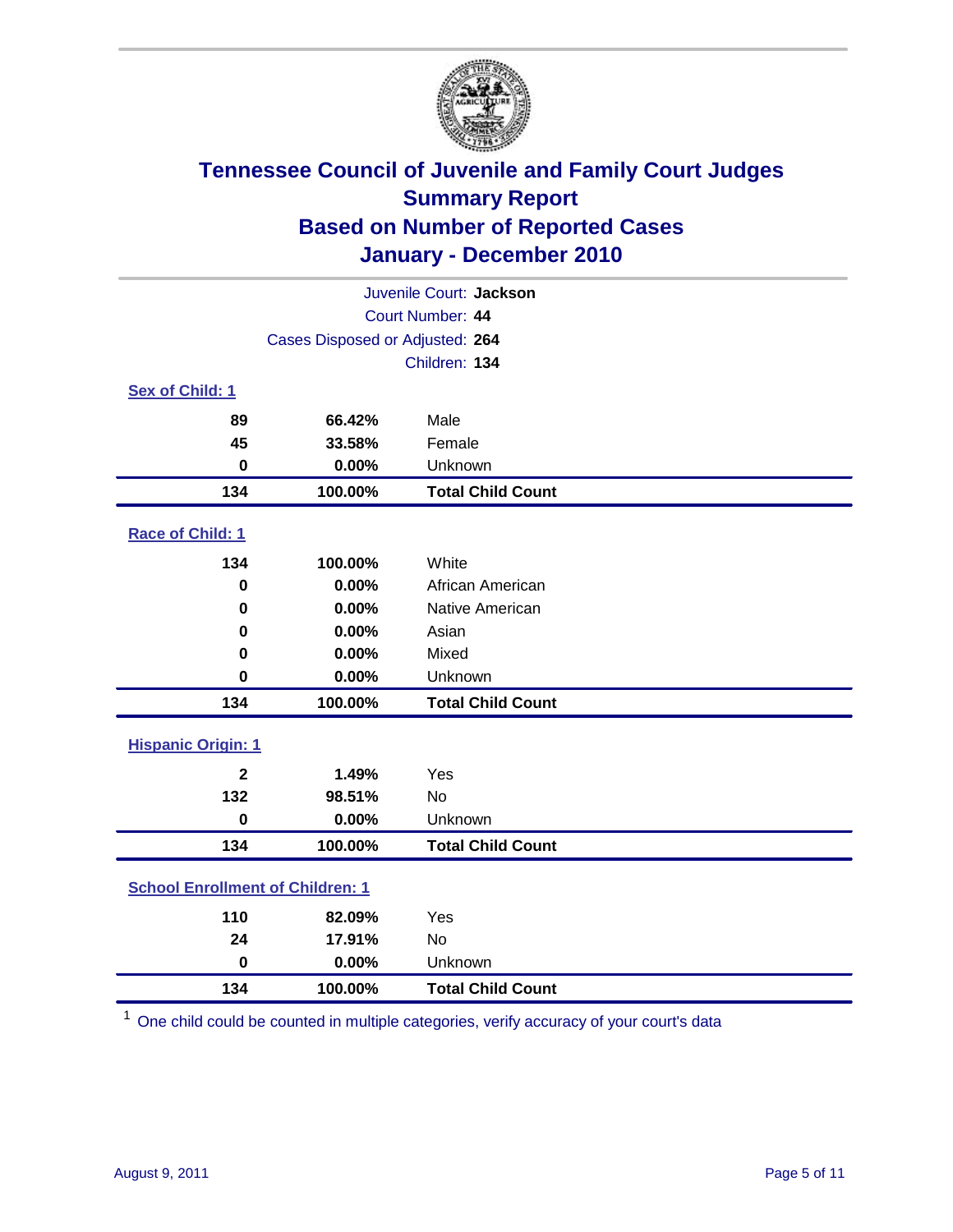

| Juvenile Court: Jackson                 |                                 |                          |  |  |
|-----------------------------------------|---------------------------------|--------------------------|--|--|
| Court Number: 44                        |                                 |                          |  |  |
|                                         | Cases Disposed or Adjusted: 264 |                          |  |  |
|                                         |                                 | Children: 134            |  |  |
| Sex of Child: 1                         |                                 |                          |  |  |
| 89                                      | 66.42%                          | Male                     |  |  |
| 45                                      | 33.58%                          | Female                   |  |  |
| $\mathbf 0$                             | 0.00%                           | Unknown                  |  |  |
| 134                                     | 100.00%                         | <b>Total Child Count</b> |  |  |
| Race of Child: 1                        |                                 |                          |  |  |
| 134                                     | 100.00%                         | White                    |  |  |
| $\pmb{0}$                               | 0.00%                           | African American         |  |  |
| 0                                       | 0.00%                           | Native American          |  |  |
| 0                                       | 0.00%                           | Asian                    |  |  |
| 0                                       | 0.00%                           | Mixed                    |  |  |
| $\mathbf 0$                             | 0.00%                           | Unknown                  |  |  |
| 134                                     | 100.00%                         | <b>Total Child Count</b> |  |  |
| <b>Hispanic Origin: 1</b>               |                                 |                          |  |  |
| $\mathbf{2}$                            | 1.49%                           | Yes                      |  |  |
| 132                                     | 98.51%                          | No                       |  |  |
| $\mathbf 0$                             | 0.00%                           | Unknown                  |  |  |
| 134                                     | 100.00%                         | <b>Total Child Count</b> |  |  |
| <b>School Enrollment of Children: 1</b> |                                 |                          |  |  |
| 110                                     | 82.09%                          | Yes                      |  |  |
| 24                                      | 17.91%                          | <b>No</b>                |  |  |
| $\mathbf 0$                             | 0.00%                           | Unknown                  |  |  |
| 134                                     | 100.00%                         | <b>Total Child Count</b> |  |  |

One child could be counted in multiple categories, verify accuracy of your court's data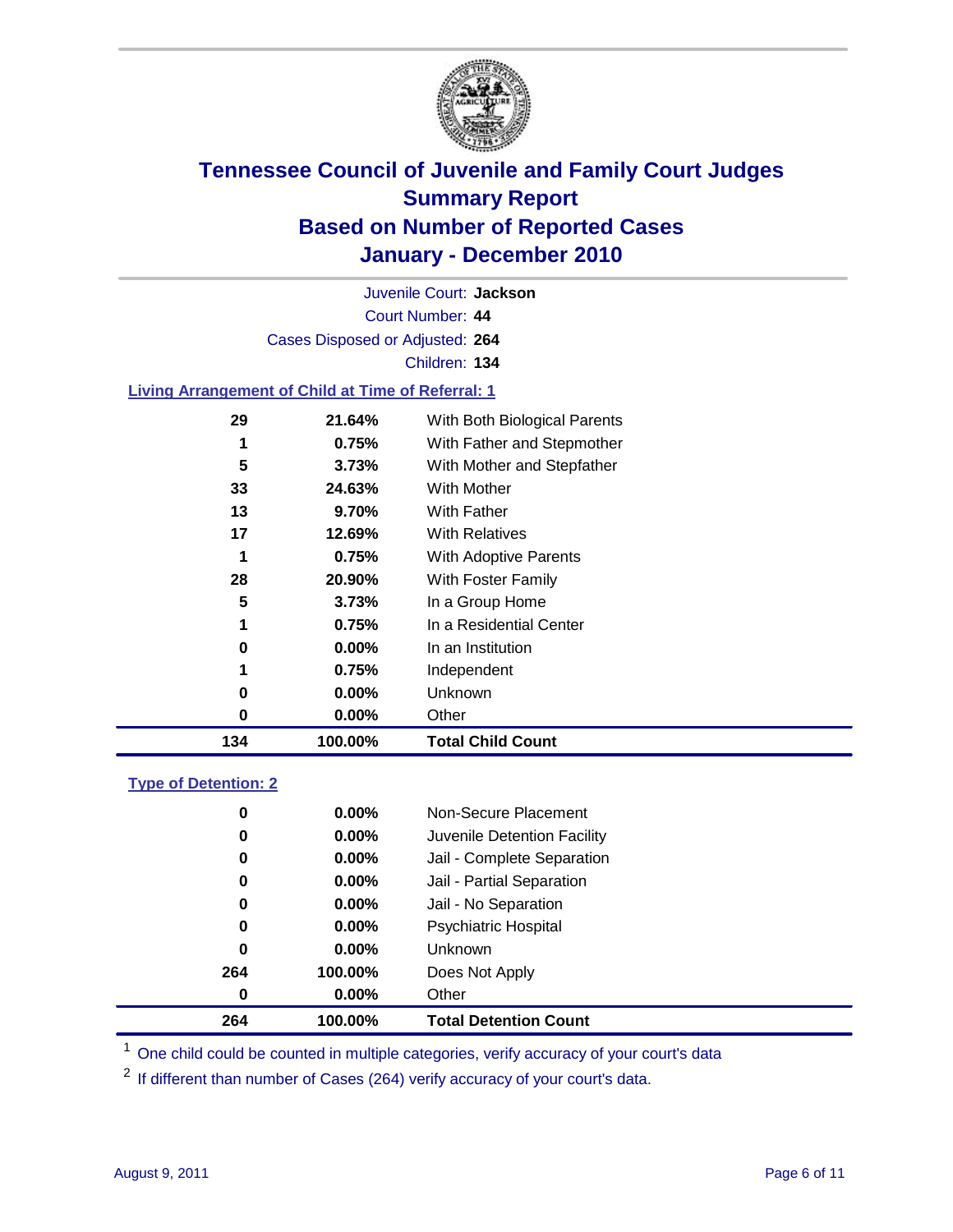

Court Number: **44** Juvenile Court: **Jackson** Cases Disposed or Adjusted: **264** Children: **134 Living Arrangement of Child at Time of Referral: 1**

### **21.64%** With Both Biological Parents **0.75%** With Father and Stepmother **3.73%** With Mother and Stepfather **24.63%** With Mother **9.70%** With Father **12.69%** With Relatives **0.75%** With Adoptive Parents **20.90%** With Foster Family **3.73%** In a Group Home **0.75%** In a Residential Center **0.00%** In an Institution **0.75%** Independent **0.00%** Unknown **0.00%** Other **100.00% Total Child Count**

### **Type of Detention: 2**

| 264      | 100.00%  | <b>Total Detention Count</b> |
|----------|----------|------------------------------|
| 0        | $0.00\%$ | Other                        |
| 264      | 100.00%  | Does Not Apply               |
| 0        | $0.00\%$ | Unknown                      |
| 0        | $0.00\%$ | <b>Psychiatric Hospital</b>  |
| 0        | 0.00%    | Jail - No Separation         |
| $\bf{0}$ | $0.00\%$ | Jail - Partial Separation    |
| 0        | $0.00\%$ | Jail - Complete Separation   |
| 0        | 0.00%    | Juvenile Detention Facility  |
| 0        | $0.00\%$ | Non-Secure Placement         |
|          |          |                              |

<sup>1</sup> One child could be counted in multiple categories, verify accuracy of your court's data

<sup>2</sup> If different than number of Cases (264) verify accuracy of your court's data.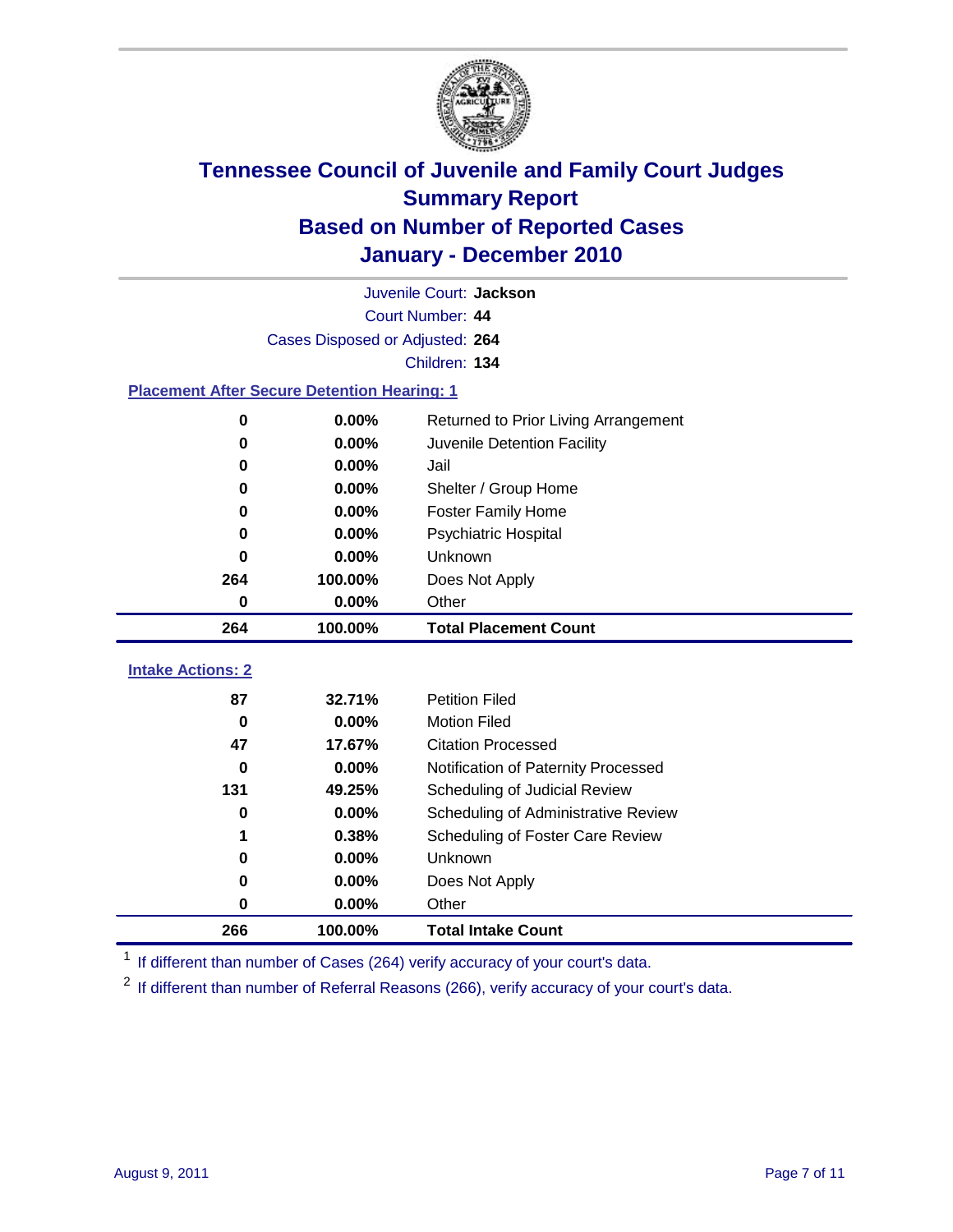

|                                                    | Juvenile Court: Jackson         |                                      |  |  |  |
|----------------------------------------------------|---------------------------------|--------------------------------------|--|--|--|
|                                                    | Court Number: 44                |                                      |  |  |  |
|                                                    | Cases Disposed or Adjusted: 264 |                                      |  |  |  |
|                                                    | Children: 134                   |                                      |  |  |  |
| <b>Placement After Secure Detention Hearing: 1</b> |                                 |                                      |  |  |  |
| 0                                                  | 0.00%                           | Returned to Prior Living Arrangement |  |  |  |
| $\bf{0}$                                           | 0.00%                           | Juvenile Detention Facility          |  |  |  |
| $\bf{0}$                                           | 0.00%                           | Jail                                 |  |  |  |
| 0                                                  | 0.00%                           | Shelter / Group Home                 |  |  |  |
| 0                                                  | 0.00%                           | <b>Foster Family Home</b>            |  |  |  |
| $\bf{0}$                                           | 0.00%                           | <b>Psychiatric Hospital</b>          |  |  |  |
| 0                                                  | 0.00%                           | Unknown                              |  |  |  |
| 264                                                | 100.00%                         | Does Not Apply                       |  |  |  |
| $\bf{0}$                                           | 0.00%                           | Other                                |  |  |  |
|                                                    |                                 | <b>Total Placement Count</b>         |  |  |  |
| 264                                                | 100.00%                         |                                      |  |  |  |
| <b>Intake Actions: 2</b>                           |                                 |                                      |  |  |  |
| 87                                                 | 32.71%                          | <b>Petition Filed</b>                |  |  |  |
| $\bf{0}$                                           | 0.00%                           | <b>Motion Filed</b>                  |  |  |  |
| 47                                                 | 17.67%                          | <b>Citation Processed</b>            |  |  |  |
| 0                                                  | 0.00%                           | Notification of Paternity Processed  |  |  |  |
| 131                                                | 49.25%                          | Scheduling of Judicial Review        |  |  |  |
| 0                                                  | 0.00%                           | Scheduling of Administrative Review  |  |  |  |
|                                                    | 0.38%                           | Scheduling of Foster Care Review     |  |  |  |
| $\bf{0}$                                           | 0.00%                           | Unknown                              |  |  |  |
| 0                                                  | 0.00%                           | Does Not Apply                       |  |  |  |
| $\pmb{0}$                                          | 0.00%                           | Other                                |  |  |  |

<sup>1</sup> If different than number of Cases (264) verify accuracy of your court's data.

<sup>2</sup> If different than number of Referral Reasons (266), verify accuracy of your court's data.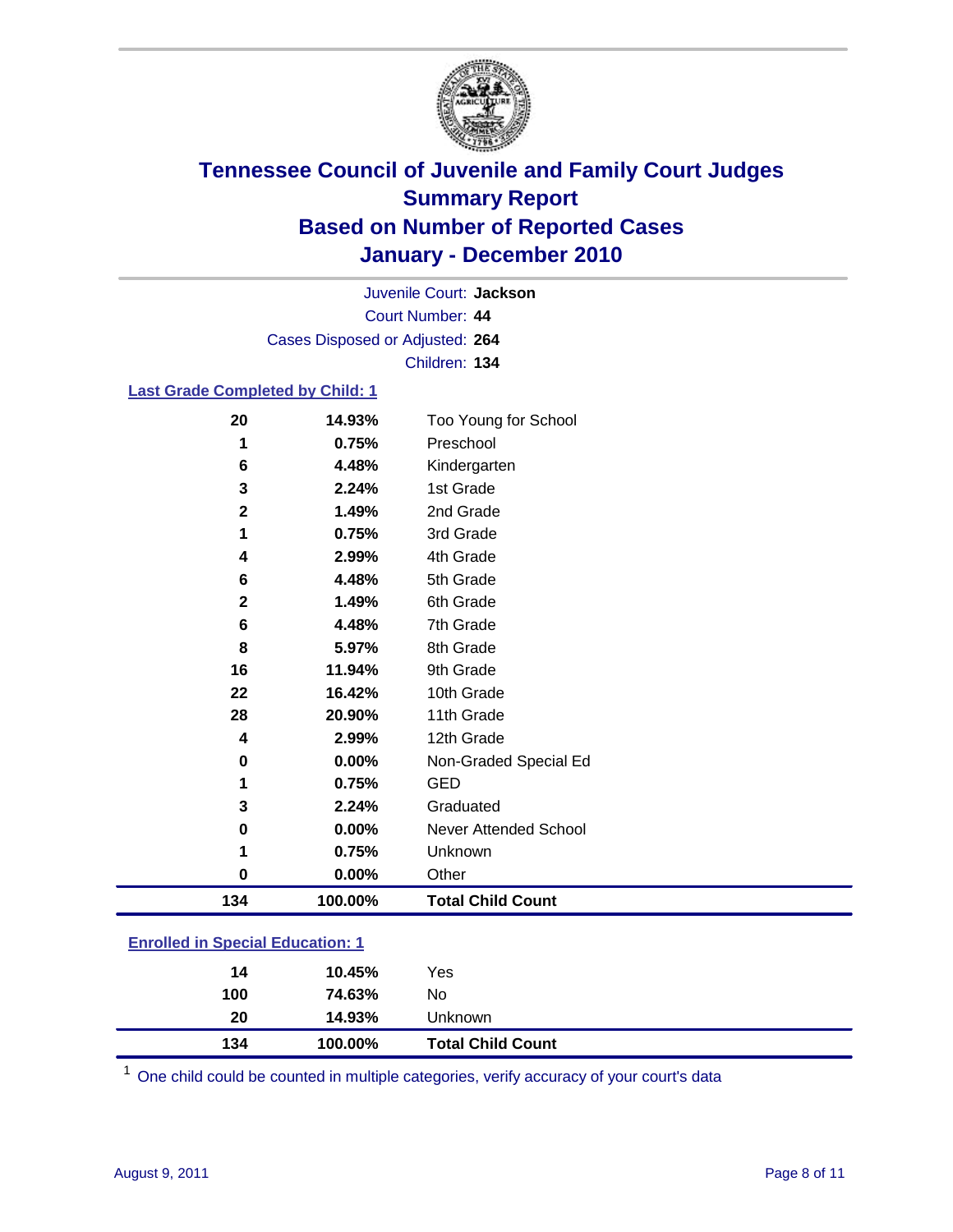

Court Number: **44** Juvenile Court: **Jackson** Cases Disposed or Adjusted: **264** Children: **134**

### **Last Grade Completed by Child: 1**

| 20                                      | 14.93%  | Too Young for School         |
|-----------------------------------------|---------|------------------------------|
| 1                                       | 0.75%   | Preschool                    |
| 6                                       | 4.48%   | Kindergarten                 |
| 3                                       | 2.24%   | 1st Grade                    |
| $\mathbf 2$                             | 1.49%   | 2nd Grade                    |
| 1                                       | 0.75%   | 3rd Grade                    |
| 4                                       | 2.99%   | 4th Grade                    |
| 6                                       | 4.48%   | 5th Grade                    |
| $\mathbf 2$                             | 1.49%   | 6th Grade                    |
| 6                                       | 4.48%   | 7th Grade                    |
| 8                                       | 5.97%   | 8th Grade                    |
| 16                                      | 11.94%  | 9th Grade                    |
| 22                                      | 16.42%  | 10th Grade                   |
| 28                                      | 20.90%  | 11th Grade                   |
| 4                                       | 2.99%   | 12th Grade                   |
| 0                                       | 0.00%   | Non-Graded Special Ed        |
| 1                                       | 0.75%   | <b>GED</b>                   |
| 3                                       | 2.24%   | Graduated                    |
| 0                                       | 0.00%   | <b>Never Attended School</b> |
| 1                                       | 0.75%   | Unknown                      |
| 0                                       | 0.00%   | Other                        |
| 134                                     | 100.00% | <b>Total Child Count</b>     |
| <b>Enrolled in Special Education: 1</b> |         |                              |

| 134                                | 100.00% | <b>Total Child Count</b> |
|------------------------------------|---------|--------------------------|
| 20                                 | 14.93%  | Unknown                  |
| 100                                | 74.63%  | No.                      |
| 14                                 | 10.45%  | Yes                      |
| __________________________________ |         |                          |

One child could be counted in multiple categories, verify accuracy of your court's data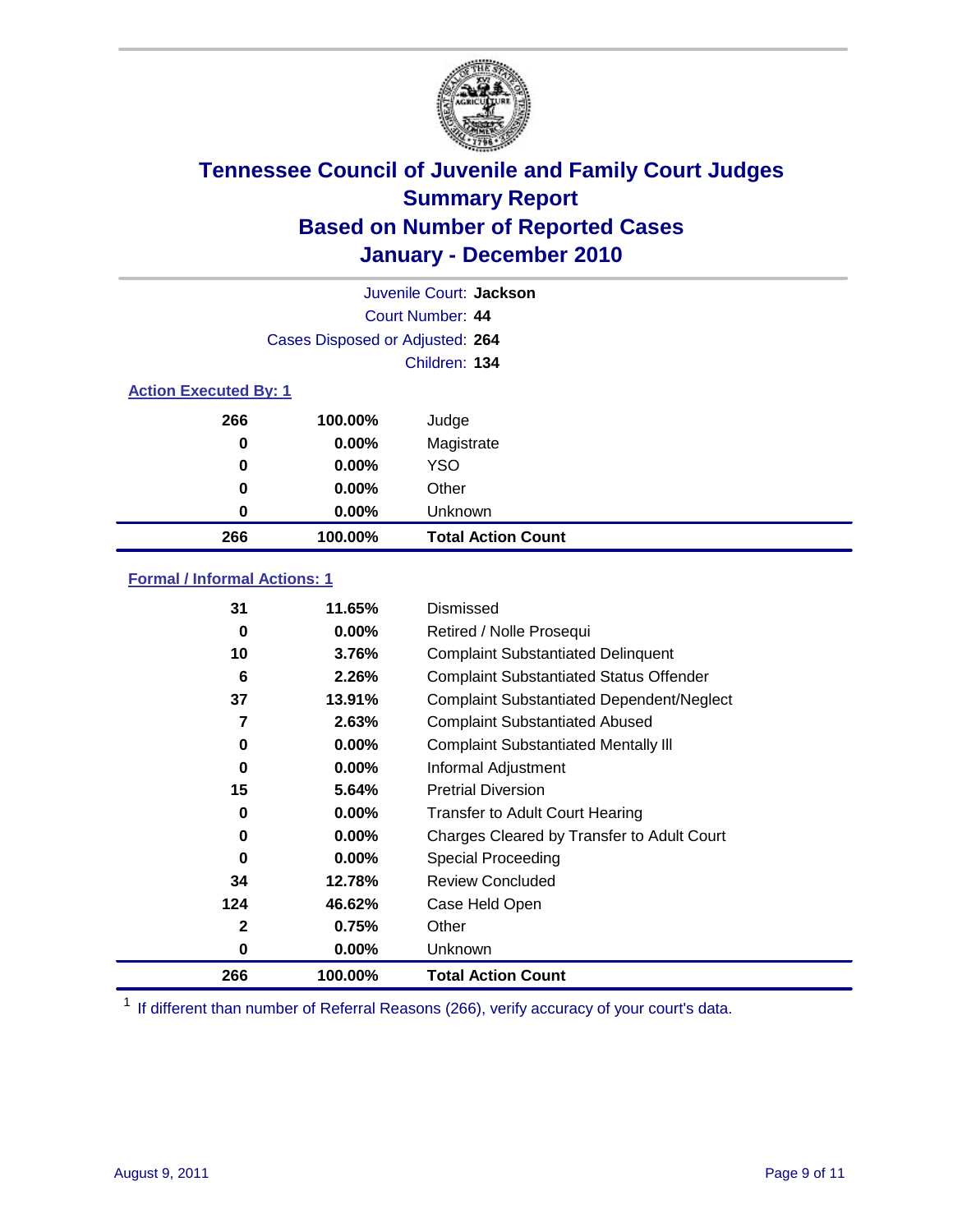

| Juvenile Court: Jackson |                                 |                           |  |  |  |
|-------------------------|---------------------------------|---------------------------|--|--|--|
|                         | Court Number: 44                |                           |  |  |  |
|                         | Cases Disposed or Adjusted: 264 |                           |  |  |  |
|                         | Children: 134                   |                           |  |  |  |
|                         | <b>Action Executed By: 1</b>    |                           |  |  |  |
| 266                     | 100.00%                         | Judge                     |  |  |  |
| 0                       | $0.00\%$                        | Magistrate                |  |  |  |
| 0                       | $0.00\%$                        | <b>YSO</b>                |  |  |  |
| 0                       | $0.00\%$                        | Other                     |  |  |  |
| 0                       | 0.00%                           | Unknown                   |  |  |  |
| 266                     | 100.00%                         | <b>Total Action Count</b> |  |  |  |

### **Formal / Informal Actions: 1**

| 31  | 11.65%   | Dismissed                                        |
|-----|----------|--------------------------------------------------|
| 0   | $0.00\%$ | Retired / Nolle Prosequi                         |
| 10  | 3.76%    | <b>Complaint Substantiated Delinquent</b>        |
| 6   | 2.26%    | <b>Complaint Substantiated Status Offender</b>   |
| 37  | 13.91%   | <b>Complaint Substantiated Dependent/Neglect</b> |
| 7   | 2.63%    | <b>Complaint Substantiated Abused</b>            |
| 0   | $0.00\%$ | <b>Complaint Substantiated Mentally III</b>      |
| 0   | $0.00\%$ | Informal Adjustment                              |
| 15  | 5.64%    | <b>Pretrial Diversion</b>                        |
| 0   | $0.00\%$ | <b>Transfer to Adult Court Hearing</b>           |
| 0   | $0.00\%$ | Charges Cleared by Transfer to Adult Court       |
| 0   | $0.00\%$ | Special Proceeding                               |
| 34  | 12.78%   | <b>Review Concluded</b>                          |
| 124 | 46.62%   | Case Held Open                                   |
| 2   | 0.75%    | Other                                            |
| 0   | $0.00\%$ | <b>Unknown</b>                                   |
| 266 | 100.00%  | <b>Total Action Count</b>                        |

<sup>1</sup> If different than number of Referral Reasons (266), verify accuracy of your court's data.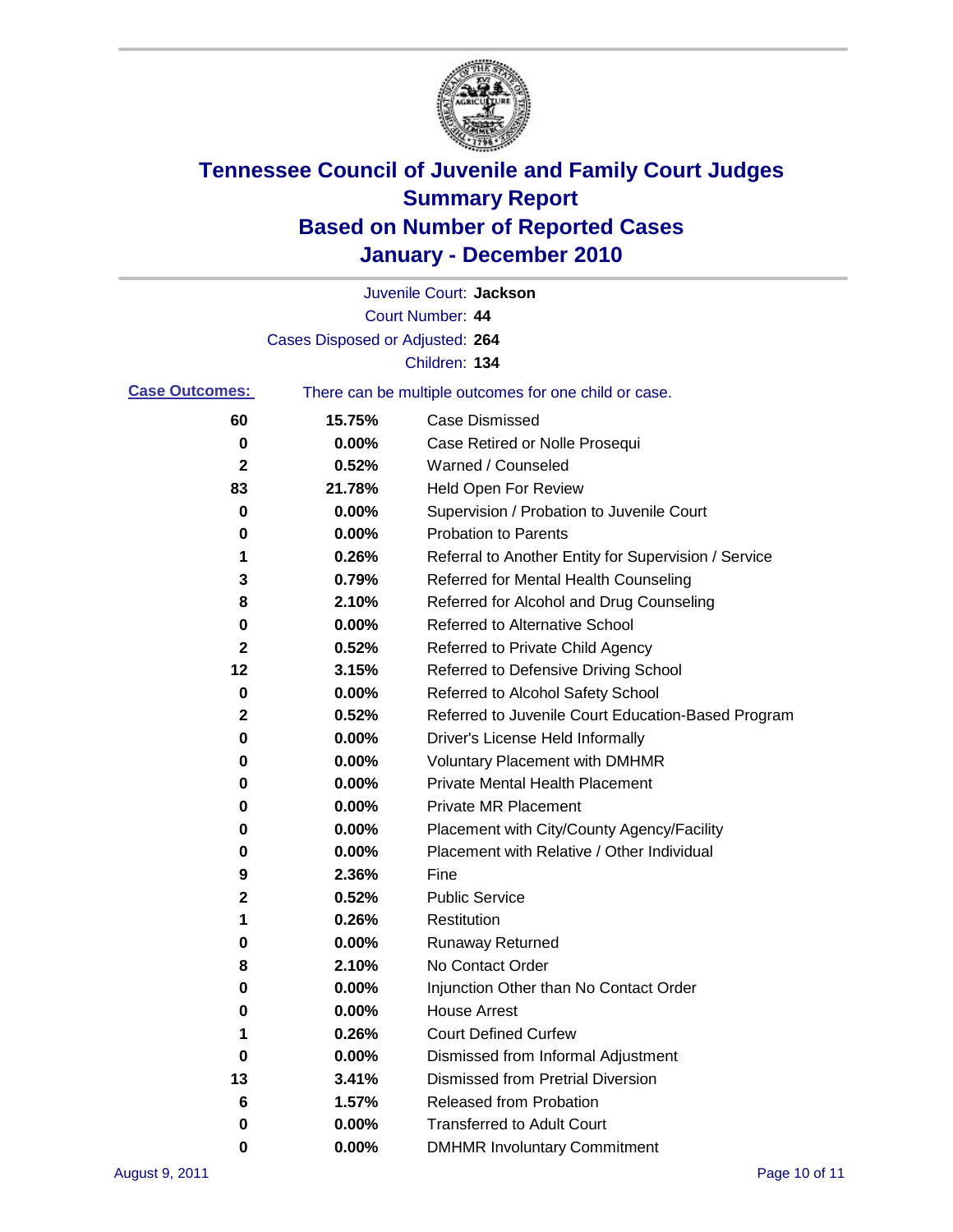

|                       |                                 | Juvenile Court: Jackson                               |
|-----------------------|---------------------------------|-------------------------------------------------------|
|                       |                                 | Court Number: 44                                      |
|                       | Cases Disposed or Adjusted: 264 |                                                       |
|                       |                                 | Children: 134                                         |
| <b>Case Outcomes:</b> |                                 | There can be multiple outcomes for one child or case. |
| 60                    | 15.75%                          | <b>Case Dismissed</b>                                 |
| 0                     | 0.00%                           | Case Retired or Nolle Prosequi                        |
| 2                     | 0.52%                           | Warned / Counseled                                    |
| 83                    | 21.78%                          | Held Open For Review                                  |
| 0                     | 0.00%                           | Supervision / Probation to Juvenile Court             |
| 0                     | 0.00%                           | <b>Probation to Parents</b>                           |
| 1                     | 0.26%                           | Referral to Another Entity for Supervision / Service  |
| 3                     | 0.79%                           | Referred for Mental Health Counseling                 |
| 8                     | 2.10%                           | Referred for Alcohol and Drug Counseling              |
| 0                     | 0.00%                           | Referred to Alternative School                        |
| 2                     | 0.52%                           | Referred to Private Child Agency                      |
| 12                    | 3.15%                           | Referred to Defensive Driving School                  |
| 0                     | 0.00%                           | Referred to Alcohol Safety School                     |
| 2                     | 0.52%                           | Referred to Juvenile Court Education-Based Program    |
| 0                     | 0.00%                           | Driver's License Held Informally                      |
| 0                     | 0.00%                           | <b>Voluntary Placement with DMHMR</b>                 |
| 0                     | 0.00%                           | <b>Private Mental Health Placement</b>                |
| 0                     | 0.00%                           | <b>Private MR Placement</b>                           |
| 0                     | 0.00%                           | Placement with City/County Agency/Facility            |
| 0                     | 0.00%                           | Placement with Relative / Other Individual            |
| 9                     | 2.36%                           | Fine                                                  |
| 2                     | 0.52%                           | <b>Public Service</b>                                 |
| 1                     | 0.26%                           | Restitution                                           |
| 0                     | 0.00%                           | <b>Runaway Returned</b>                               |
| 8                     | 2.10%                           | No Contact Order                                      |
| 0                     | 0.00%                           | Injunction Other than No Contact Order                |
| 0                     | 0.00%                           | <b>House Arrest</b>                                   |
| 1                     | 0.26%                           | <b>Court Defined Curfew</b>                           |
| 0                     | 0.00%                           | Dismissed from Informal Adjustment                    |
| 13                    | 3.41%                           | <b>Dismissed from Pretrial Diversion</b>              |
| 6                     | 1.57%                           | Released from Probation                               |
| 0                     | $0.00\%$                        | <b>Transferred to Adult Court</b>                     |
| 0                     | $0.00\%$                        | <b>DMHMR Involuntary Commitment</b>                   |